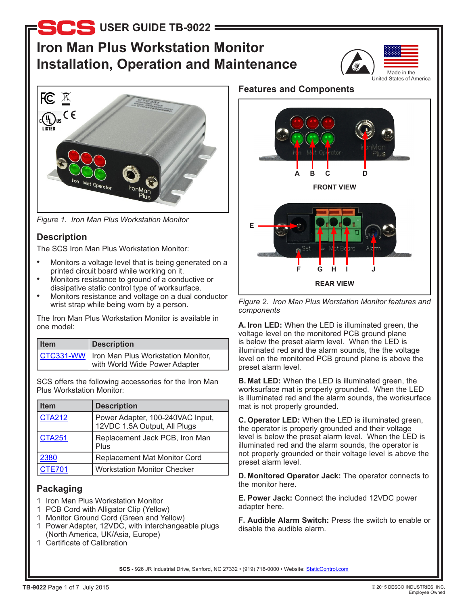# **Iron Man Plus Workstation Monitor Installation, Operation and Maintenance**





*Figure 1. Iron Man Plus Workstation Monitor*

# **Description**

The SCS Iron Man Plus Workstation Monitor:

- Monitors a voltage level that is being generated on a printed circuit board while working on it.
- Monitors resistance to ground of a conductive or dissipative static control type of worksurface.
- Monitors resistance and voltage on a dual conductor wrist strap while being worn by a person.

The Iron Man Plus Workstation Monitor is available in one model:

| <b>Item</b> | <b>Description</b>                                                              |
|-------------|---------------------------------------------------------------------------------|
|             | CTC331-WW   Iron Man Plus Workstation Monitor,<br>with World Wide Power Adapter |

SCS offers the following accessories for the Iron Man Plus Workstation Monitor:

| ltem          | <b>Description</b>                                            |
|---------------|---------------------------------------------------------------|
| <b>CTA212</b> | Power Adapter, 100-240VAC Input, 12VDC 1.5A Output, All Plugs |
| <b>CTA251</b> | Replacement Jack PCB, Iron Man<br>Plus                        |
| 2380          | Replacement Mat Monitor Cord                                  |
| <b>CTE701</b> | <b>Workstation Monitor Checker</b>                            |

# **Packaging**

- 1 Iron Man Plus Workstation Monitor
- 1 PCB Cord with Alligator Clip (Yellow)
- 1 Monitor Ground Cord (Green and Yellow)
- 1 Power Adapter, 12VDC, with interchangeable plugs (North America, UK/Asia, Europe)
- 1 Certificate of Calibration

# **Features and Components**



*Figure 2. Iron Man Plus Worstation Monitor features and components*

**A. Iron LED:** When the LED is illuminated green, the voltage level on the monitored PCB ground plane is below the preset alarm level. When the LED is illuminated red and the alarm sounds, the the voltage level on the monitored PCB ground plane is above the preset alarm level.

**B. Mat LED:** When the LED is illuminated green, the worksurface mat is properly grounded. When the LED is illuminated red and the alarm sounds, the worksurface mat is not properly grounded.

**C. Operator LED:** When the LED is illuminated green, the operator is properly grounded and their voltage level is below the preset alarm level. When the LED is illuminated red and the alarm sounds, the operator is not properly grounded or their voltage level is above the preset alarm level.

**D. Monitored Operator Jack:** The operator connects to the monitor here.

**E. Power Jack:** Connect the included 12VDC power adapter here.

**F. Audible Alarm Switch:** Press the switch to enable or disable the audible alarm.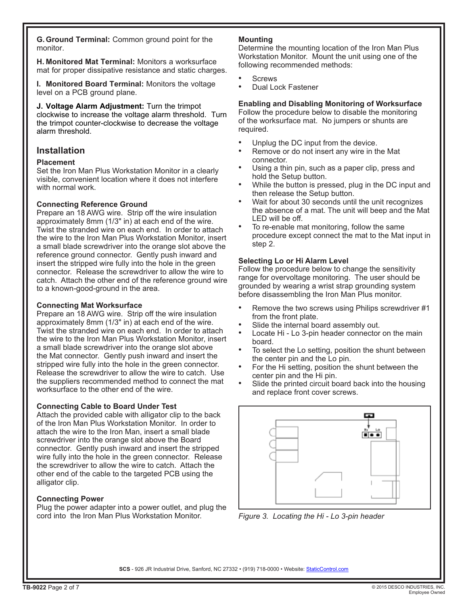**G.Ground Terminal:** Common ground point for the monitor.

**H. Monitored Mat Terminal:** Monitors a worksurface mat for proper dissipative resistance and static charges.

**I. Monitored Board Terminal:** Monitors the voltage level on a PCB ground plane.

**J. Voltage Alarm Adjustment:** Turn the trimpot clockwise to increase the voltage alarm threshold. Turn the trimpot counter-clockwise to decrease the voltage alarm threshold.

# **Installation**

### **Placement**

Set the Iron Man Plus Workstation Monitor in a clearly visible, convenient location where it does not interfere with normal work.

### **Connecting Reference Ground**

Prepare an 18 AWG wire. Strip off the wire insulation approximately 8mm (1/3" in) at each end of the wire. Twist the stranded wire on each end. In order to attach the wire to the Iron Man Plus Workstation Monitor, insert a small blade screwdriver into the orange slot above the reference ground connector. Gently push inward and insert the stripped wire fully into the hole in the green connector. Release the screwdriver to allow the wire to catch. Attach the other end of the reference ground wire to a known-good-ground in the area.

### **Connecting Mat Worksurface**

Prepare an 18 AWG wire. Strip off the wire insulation approximately 8mm (1/3" in) at each end of the wire. Twist the stranded wire on each end. In order to attach the wire to the Iron Man Plus Workstation Monitor, insert a small blade screwdriver into the orange slot above the Mat connector. Gently push inward and insert the stripped wire fully into the hole in the green connector. Release the screwdriver to allow the wire to catch. Use the suppliers recommended method to connect the mat worksurface to the other end of the wire.

### **Connecting Cable to Board Under Test**

Attach the provided cable with alligator clip to the back of the Iron Man Plus Workstation Monitor. In order to attach the wire to the Iron Man, insert a small blade screwdriver into the orange slot above the Board connector. Gently push inward and insert the stripped wire fully into the hole in the green connector. Release the screwdriver to allow the wire to catch. Attach the other end of the cable to the targeted PCB using the alligator clip.

### **Connecting Power**

Plug the power adapter into a power outlet, and plug the cord into the Iron Man Plus Workstation Monitor.

### **Mounting**

Determine the mounting location of the Iron Man Plus Workstation Monitor. Mount the unit using one of the following recommended methods:

- Screws
- Dual Lock Fastener

# **Enabling and Disabling Monitoring of Worksurface**

Follow the procedure below to disable the monitoring of the worksurface mat. No jumpers or shunts are required.

- Unplug the DC input from the device.
- Remove or do not insert any wire in the Mat connector.
- Using a thin pin, such as a paper clip, press and hold the Setup button.
- While the button is pressed, plug in the DC input and then release the Setup button.
- Wait for about 30 seconds until the unit recognizes the absence of a mat. The unit will beep and the Mat LED will be off.
- To re-enable mat monitoring, follow the same procedure except connect the mat to the Mat input in step 2.

### **Selecting Lo or Hi Alarm Level**

Follow the procedure below to change the sensitivity range for overvoltage monitoring. The user should be grounded by wearing a wrist strap grounding system before disassembling the Iron Man Plus monitor.

- Remove the two screws using Philips screwdriver #1 from the front plate.
- Slide the internal board assembly out.
- Locate Hi Lo 3-pin header connector on the main board.
- To select the Lo setting, position the shunt between the center pin and the Lo pin.
- For the Hi setting, position the shunt between the center pin and the Hi pin.
- Slide the printed circuit board back into the housing and replace front cover screws.



*Figure 3. Locating the Hi - Lo 3-pin header*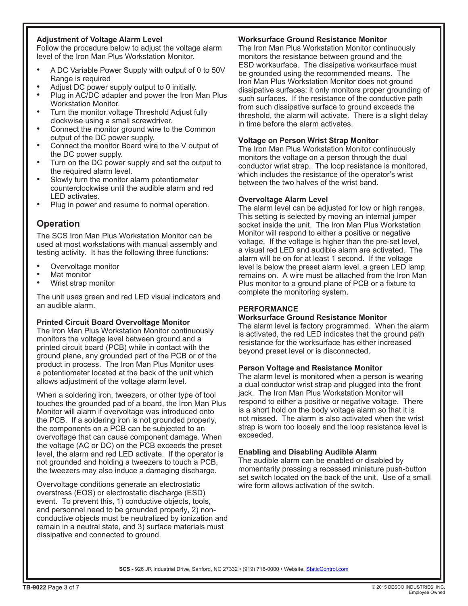### **Adjustment of Voltage Alarm Level**

Follow the procedure below to adjust the voltage alarm level of the Iron Man Plus Workstation Monitor.

- A DC Variable Power Supply with output of 0 to 50V Range is required
- Adjust DC power supply output to 0 initially.
- Plug in AC/DC adapter and power the Iron Man Plus Workstation Monitor.
- Turn the monitor voltage Threshold Adjust fully clockwise using a small screwdriver.
- Connect the monitor ground wire to the Common output of the DC power supply.
- Connect the monitor Board wire to the V output of the DC power supply.
- Turn on the DC power supply and set the output to the required alarm level.
- Slowly turn the monitor alarm potentiometer counterclockwise until the audible alarm and red LED activates.
- Plug in power and resume to normal operation.

# **Operation**

The SCS Iron Man Plus Workstation Monitor can be used at most workstations with manual assembly and testing activity. It has the following three functions:

- Overvoltage monitor
- Mat monitor
- Wrist strap monitor

The unit uses green and red LED visual indicators and an audible alarm.

### **Printed Circuit Board Overvoltage Monitor**

The Iron Man Plus Workstation Monitor continuously monitors the voltage level between ground and a printed circuit board (PCB) while in contact with the ground plane, any grounded part of the PCB or of the product in process. The Iron Man Plus Monitor uses a potentiometer located at the back of the unit which allows adjustment of the voltage alarm level.

When a soldering iron, tweezers, or other type of tool touches the grounded pad of a board, the Iron Man Plus Monitor will alarm if overvoltage was introduced onto the PCB. If a soldering iron is not grounded properly, the components on a PCB can be subjected to an overvoltage that can cause component damage. When the voltage (AC or DC) on the PCB exceeds the preset level, the alarm and red LED activate. If the operator is not grounded and holding a tweezers to touch a PCB, the tweezers may also induce a damaging discharge.

Overvoltage conditions generate an electrostatic overstress (EOS) or electrostatic discharge (ESD) event. To prevent this, 1) conductive objects, tools, and personnel need to be grounded properly, 2) nonconductive objects must be neutralized by ionization and remain in a neutral state, and 3) surface materials must dissipative and connected to ground.

### **Worksurface Ground Resistance Monitor**

The Iron Man Plus Workstation Monitor continuously monitors the resistance between ground and the ESD worksurface. The dissipative worksurface must be grounded using the recommended means. The Iron Man Plus Workstation Monitor does not ground dissipative surfaces; it only monitors proper grounding of such surfaces. If the resistance of the conductive path from such dissipative surface to ground exceeds the threshold, the alarm will activate. There is a slight delay in time before the alarm activates.

### **Voltage on Person Wrist Strap Monitor**

The Iron Man Plus Workstation Monitor continuously monitors the voltage on a person through the dual conductor wrist strap. The loop resistance is monitored, which includes the resistance of the operator's wrist between the two halves of the wrist band.

#### **Overvoltage Alarm Level**

The alarm level can be adjusted for low or high ranges. This setting is selected by moving an internal jumper socket inside the unit. The Iron Man Plus Workstation Monitor will respond to either a positive or negative voltage. If the voltage is higher than the pre-set level, a visual red LED and audible alarm are activated. The alarm will be on for at least 1 second. If the voltage level is below the preset alarm level, a green LED lamp remains on. A wire must be attached from the Iron Man Plus monitor to a ground plane of PCB or a fixture to complete the monitoring system.

### **PERFORMANCE**

#### **Worksurface Ground Resistance Monitor**

The alarm level is factory programmed. When the alarm is activated, the red LED indicates that the ground path resistance for the worksurface has either increased beyond preset level or is disconnected.

#### **Person Voltage and Resistance Monitor**

The alarm level is monitored when a person is wearing a dual conductor wrist strap and plugged into the front jack. The Iron Man Plus Workstation Monitor will respond to either a positive or negative voltage. There is a short hold on the body voltage alarm so that it is not missed. The alarm is also activated when the wrist strap is worn too loosely and the loop resistance level is exceeded.

### **Enabling and Disabling Audible Alarm**

The audible alarm can be enabled or disabled by momentarily pressing a recessed miniature push-button set switch located on the back of the unit. Use of a small wire form allows activation of the switch.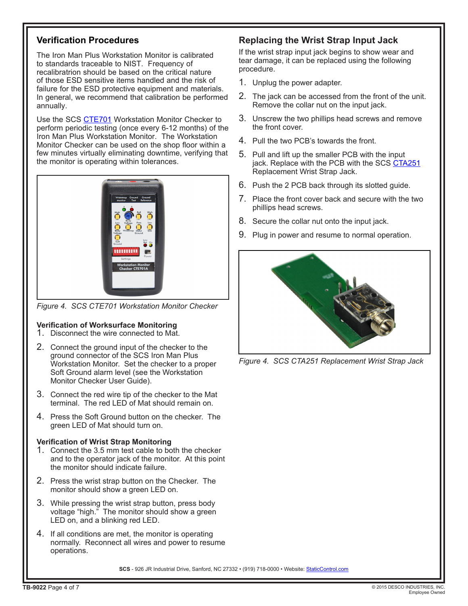# **Verification Procedures**

The Iron Man Plus Workstation Monitor is calibrated to standards traceable to NIST. Frequency of recalibratrion should be based on the critical nature of those ESD sensitive items handled and the risk of failure for the ESD protective equipment and materials. In general, we recommend that calibration be performed annually.

Use the SCS [CTE701](http://staticcontrol.descoindustries.com/SCSCatalog/Monitors/Dual-Wire-Workstation-Monitors/CTE701/) Workstation Monitor Checker to perform periodic testing (once every 6-12 months) of the Iron Man Plus Workstation Monitor. The Workstation Monitor Checker can be used on the shop floor within a few minutes virtually eliminating downtime, verifying that the monitor is operating within tolerances.



*Figure 4. SCS CTE701 Workstation Monitor Checker*

### **Verification of Worksurface Monitoring**

- 1. Disconnect the wire connected to Mat.
- 2. Connect the ground input of the checker to the ground connector of the SCS Iron Man Plus Workstation Monitor. Set the checker to a proper Soft Ground alarm level (see the Workstation Monitor Checker User Guide).
- 3. Connect the red wire tip of the checker to the Mat terminal. The red LED of Mat should remain on.
- 4. Press the Soft Ground button on the checker. The green LED of Mat should turn on.

### **Verification of Wrist Strap Monitoring**

- 1. Connect the 3.5 mm test cable to both the checker and to the operator jack of the monitor. At this point the monitor should indicate failure.
- 2. Press the wrist strap button on the Checker. The monitor should show a green LED on.
- 3. While pressing the wrist strap button, press body voltage "high." The monitor should show a green LED on, and a blinking red LED.
- 4. If all conditions are met, the monitor is operating normally. Reconnect all wires and power to resume operations.

# **Replacing the Wrist Strap Input Jack**

If the wrist strap input jack begins to show wear and tear damage, it can be replaced using the following procedure.

- 1. Unplug the power adapter.
- 2. The jack can be accessed from the front of the unit. Remove the collar nut on the input jack.
- 3. Unscrew the two phillips head screws and remove the front cover.
- 4. Pull the two PCB's towards the front.
- 5. Pull and lift up the smaller PCB with the input jack. Replace with the PCB with the SCS [CTA251](http://staticcontrol.descoindustries.com/SCSCatalog/Monitors/Monitor-Accessories/CTA251/) Replacement Wrist Strap Jack.
- 6. Push the 2 PCB back through its slotted guide.
- 7. Place the front cover back and secure with the two phillips head screws.
- 8. Secure the collar nut onto the input jack.
- 9. Plug in power and resume to normal operation.



*Figure 4. SCS CTA251 Replacement Wrist Strap Jack*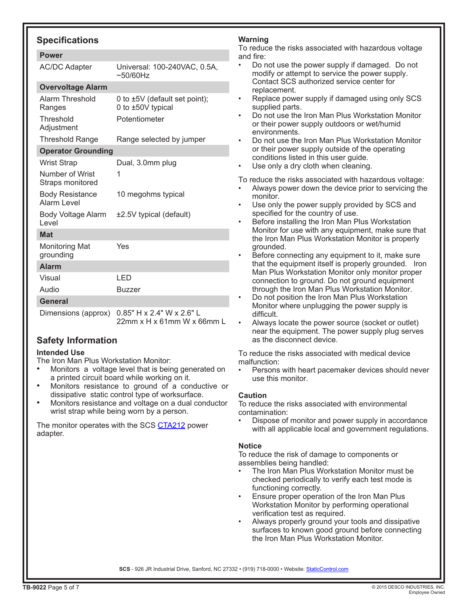## **Specifications**

| <b>AC/DC Adapter</b>                         | Universal: 100-240VAC, 0.5A,<br>$\sim$ 50/60Hz          |  |  |  |
|----------------------------------------------|---------------------------------------------------------|--|--|--|
| <b>Overvoltage Alarm</b>                     |                                                         |  |  |  |
| Alarm Threshold<br>Ranges                    | 0 to ±5V (default set point);<br>0 to ±50V typical      |  |  |  |
| Threshold<br>Adjustment                      | Potentiometer                                           |  |  |  |
| <b>Threshold Range</b>                       | Range selected by jumper                                |  |  |  |
| <b>Operator Grounding</b>                    |                                                         |  |  |  |
| <b>Wrist Strap</b>                           | Dual, 3.0mm plug                                        |  |  |  |
| Number of Wrist<br>Straps monitored          | 1                                                       |  |  |  |
| <b>Body Resistance</b><br><b>Alarm Level</b> | 10 megohms typical                                      |  |  |  |
| Body Voltage Alarm<br>Level                  | ±2.5V typical (default)                                 |  |  |  |
| <b>Mat</b>                                   |                                                         |  |  |  |
| <b>Monitoring Mat</b><br>grounding           | Yes                                                     |  |  |  |
| <b>Alarm</b>                                 |                                                         |  |  |  |
| Visual                                       | LED                                                     |  |  |  |
| Audio                                        | <b>Buzzer</b>                                           |  |  |  |
| <b>General</b>                               |                                                         |  |  |  |
| Dimensions (approx)                          | 0.85" H x 2.4" W x 2.6" L<br>22mm x H x 61mm W x 66mm L |  |  |  |

# **Safety Information**

### **Intended Use**

- The Iron Man Plus Workstation Monitor:
- Monitors a voltage level that is being generated on a printed circuit board while working on it.
- Monitors resistance to ground of a conductive or dissipative static control type of worksurface.
- Monitors resistance and voltage on a dual conductor wrist strap while being worn by a person.

The monitor operates with the SCS [CTA212](http://staticcontrol.descoindustries.com/SCSCatalog/Monitors/Monitor-Accessories/CTA212) power adapter.

### **Warning**

To reduce the risks associated with hazardous voltage and fire:

- Do not use the power supply if damaged. Do not modify or attempt to service the power supply. Contact SCS authorized service center for replacement.
- Replace power supply if damaged using only SCS supplied parts.
- Do not use the Iron Man Plus Workstation Monitor or their power supply outdoors or wet/humid environments.
- Do not use the Iron Man Plus Workstation Monitor or their power supply outside of the operating conditions listed in this user guide.
- Use only a dry cloth when cleaning.

To reduce the risks associated with hazardous voltage:

- Always power down the device prior to servicing the monitor.
- Use only the power supply provided by SCS and specified for the country of use.
- Before installing the Iron Man Plus Workstation Monitor for use with any equipment, make sure that the Iron Man Plus Workstation Monitor is properly grounded.
- Before connecting any equipment to it, make sure that the equipment itself is properly grounded. Iron Man Plus Workstation Monitor only monitor proper connection to ground. Do not ground equipment through the Iron Man Plus Workstation Monitor.
- Do not position the Iron Man Plus Workstation Monitor where unplugging the power supply is difficult.
- Always locate the power source (socket or outlet) near the equipment. The power supply plug serves as the disconnect device.

To reduce the risks associated with medical device malfunction:

Persons with heart pacemaker devices should never use this monitor.

### **Caution**

To reduce the risks associated with environmental contamination:

Dispose of monitor and power supply in accordance with all applicable local and government regulations.

### **Notice**

To reduce the risk of damage to components or assemblies being handled:

- The Iron Man Plus Workstation Monitor must be checked periodically to verify each test mode is functioning correctly.
- Ensure proper operation of the Iron Man Plus Workstation Monitor by performing operational verification test as required.
- Always properly ground your tools and dissipative surfaces to known good ground before connecting the Iron Man Plus Workstation Monitor.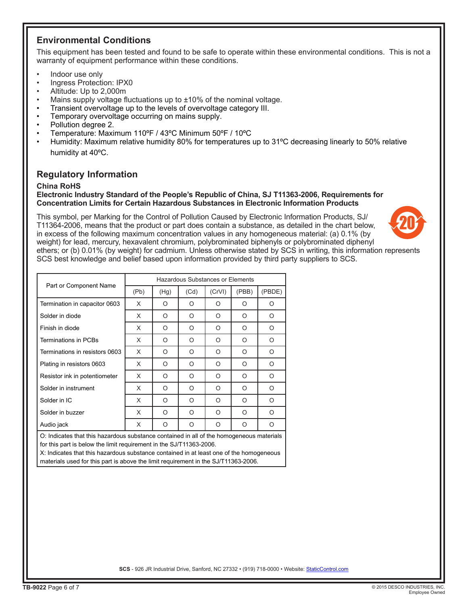## **Environmental Conditions**

This equipment has been tested and found to be safe to operate within these environmental conditions. This is not a warranty of equipment performance within these conditions.

- Indoor use only
- Ingress Protection: IPX0
- Altitude: Up to 2,000m
- Mains supply voltage fluctuations up to  $\pm 10\%$  of the nominal voltage.
- Transient overvoltage up to the levels of overvoltage category III.
- Temporary overvoltage occurring on mains supply.
- Pollution degree 2.
- Temperature: Maximum 110ºF / 43ºC Minimum 50ºF / 10ºC
- Humidity: Maximum relative humidity 80% for temperatures up to 31ºC decreasing linearly to 50% relative humidity at 40ºC.

### **Regulatory Information**

#### **China RoHS**

#### **Electronic Industry Standard of the People's Republic of China, SJ T11363-2006, Requirements for Concentration Limits for Certain Hazardous Substances in Electronic Information Products**

This symbol, per Marking for the Control of Pollution Caused by Electronic Information Products, SJ/ T11364-2006, means that the product or part does contain a substance, as detailed in the chart below, in excess of the following maximum concentration values in any homogeneous material: (a) 0.1% (by weight) for lead, mercury, hexavalent chromium, polybrominated biphenyls or polybrominated diphenyl ethers; or (b) 0.01% (by weight) for cadmium. Unless otherwise stated by SCS in writing, this information represents SCS best knowledge and belief based upon information provided by third party suppliers to SCS.



| Part or Component Name         | Hazardous Substances or Elements |         |         |        |          |          |  |
|--------------------------------|----------------------------------|---------|---------|--------|----------|----------|--|
|                                | (Pb)                             | (Hg)    | (Cd)    | (CrVI) | (PBB)    | (PBDE)   |  |
| Termination in capacitor 0603  | X                                | O       | O       | O      | Ο        | O        |  |
| Solder in diode                | X                                | O       | O       | O      | O        | O        |  |
| Finish in diode                | X                                | O       | $\circ$ | O      | O        | O        |  |
| Terminations in PCBs           | X                                | O       | O       | O      | O        | O        |  |
| Terminations in resistors 0603 | X                                | O       | O       | O      | O        | O        |  |
| Plating in resistors 0603      | X                                | O       | O       | O      | $\Omega$ | O        |  |
| Resistor ink in potentiometer  | X                                | O       | O       | O      | O        | $\circ$  |  |
| Solder in instrument           | X                                | $\circ$ | O       | O      | O        | O        |  |
| Solder in IC                   | X                                | O       | O       | O      | O        | O        |  |
| Solder in buzzer               | X                                | O       | O       | O      | O        | O        |  |
| Audio jack                     | X                                | O       | O       | O      | $\Omega$ | $\Omega$ |  |

O: Indicates that this hazardous substance contained in all of the homogeneous materials for this part is below the limit requirement in the SJ/T11363-2006.

X: Indicates that this hazardous substance contained in at least one of the homogeneous materials used for this part is above the limit requirement in the SJ/T11363-2006.